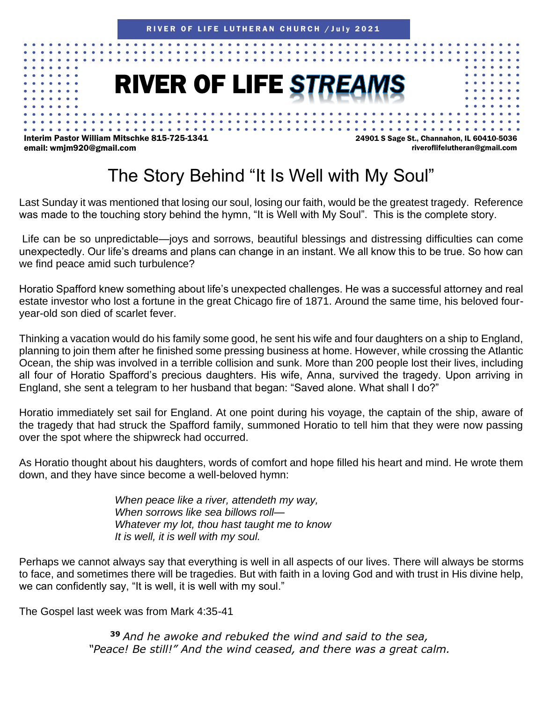## **RIVER OF LIFE STREAMS**

Interim Pastor William Mitschke 815-725-1341 email: wmjm920@gmail.com

24901 S Sage St., Channahon, IL 60410-5036 riveroflifelutheran@gmail.com

## The Story Behind "It Is Well with My Soul"

Last Sunday it was mentioned that losing our soul, losing our faith, would be the greatest tragedy. Reference was made to the touching story behind the hymn, "It is Well with My Soul". This is the complete story.

Life can be so unpredictable—joys and sorrows, beautiful blessings and distressing difficulties can come unexpectedly. Our life's dreams and plans can change in an instant. We all know this to be true. So how can we find peace amid such turbulence?

Horatio Spafford knew something about life's unexpected challenges. He was a successful attorney and real estate investor who lost a fortune in the great Chicago fire of 1871. Around the same time, his beloved fouryear-old son died of scarlet fever.

Thinking a vacation would do his family some good, he sent his wife and four daughters on a ship to England, planning to join them after he finished some pressing business at home. However, while crossing the Atlantic Ocean, the ship was involved in a terrible collision and sunk. More than 200 people lost their lives, including all four of Horatio Spafford's precious daughters. His wife, Anna, survived the tragedy. Upon arriving in England, she sent a telegram to her husband that began: "Saved alone. What shall I do?"

Horatio immediately set sail for England. At one point during his voyage, the captain of the ship, aware of the tragedy that had struck the Spafford family, summoned Horatio to tell him that they were now passing over the spot where the shipwreck had occurred.

As Horatio thought about his daughters, words of comfort and hope filled his heart and mind. He wrote them down, and they have since become a well-beloved hymn:

> *When peace like a river, attendeth my way, When sorrows like sea billows roll— Whatever my lot, thou hast taught me to know It is well, it is well with my soul.*

Perhaps we cannot always say that everything is well in all aspects of our lives. There will always be storms to face, and sometimes there will be tragedies. But with faith in a loving God and with trust in His divine help, we can confidently say, "It is well, it is well with my soul."

The Gospel last week was from Mark 4:35-41

**<sup>39</sup>** *And he awoke and rebuked the wind and said to the sea, "Peace! Be still!" And the wind ceased, and there was a great calm.*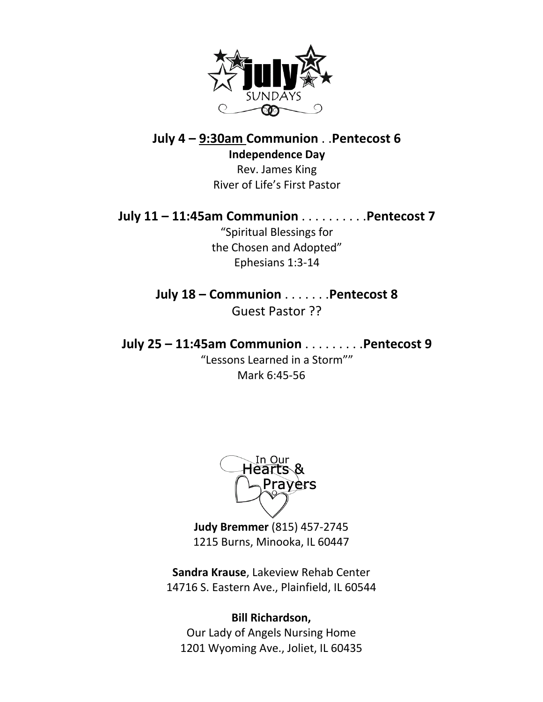

**July 4 – 9:30am Communion** . .**Pentecost 6 Independence Day**

> Rev. James King River of Life's First Pastor

**July 11 – 11:45am Communion** . . . . . . . . . .**Pentecost 7**

"Spiritual Blessings for the Chosen and Adopted" Ephesians 1:3-14

**July 18 – Communion** . . . . . . .**Pentecost 8** Guest Pastor ??

**July 25 – 11:45am Communion** . . . . . . . . .**Pentecost 9** "Lessons Learned in a Storm""

Mark 6:45-56

In Our Hearts & Prayers

**Judy Bremmer** (815) 457-2745 1215 Burns, Minooka, IL 60447

**Sandra Krause**, Lakeview Rehab Center 14716 S. Eastern Ave., Plainfield, IL 60544

#### **Bill Richardson,**

Our Lady of Angels Nursing Home 1201 Wyoming Ave., Joliet, IL 60435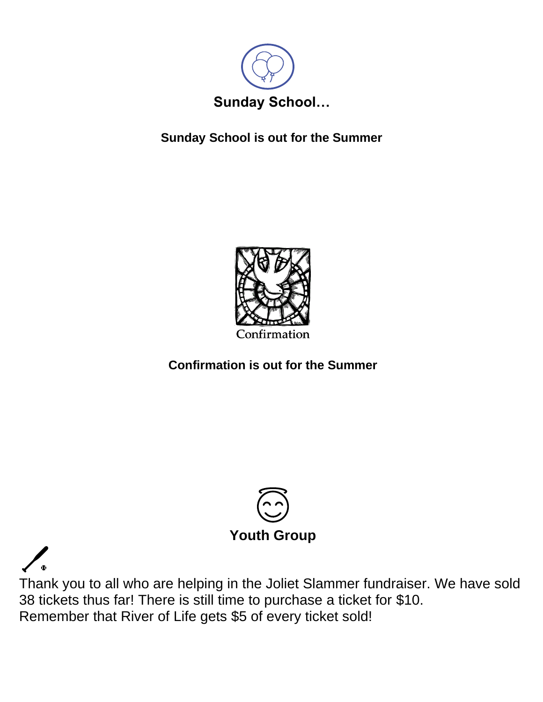

**Sunday School is out for the Summer**



### **Confirmation is out for the Summer**



Thank you to all who are helping in the Joliet Slammer fundraiser. We have sold 38 tickets thus far! There is still time to purchase a ticket for \$10. Remember that River of Life gets \$5 of every ticket sold!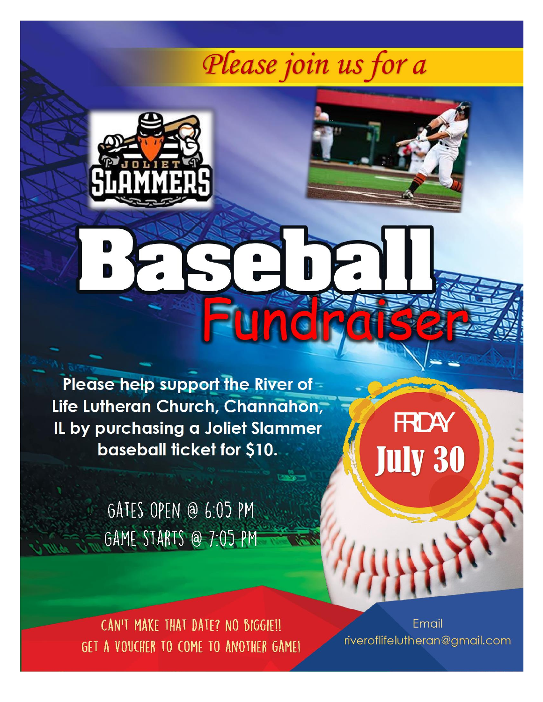# Please join us for a

I,





Please help support the River of -Life Lutheran Church, Channahon, IL by purchasing a Joliet Slammer baseball ticket for \$10.

> GATES OPEN @ 6:05 PM GAME STARTS @ 7:05 PM

**FRDAY July 30** 

CAN'T MAKE THAT DATE? NO BIGGIE!! GET A VOUCHER TO COME TO ANOTHER GAME!

Email riveroflifelutheran@gmail.com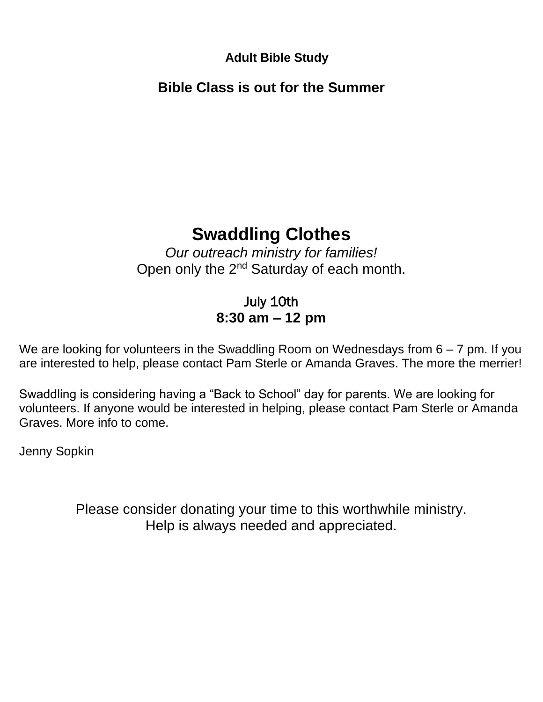**Adult Bible Study**

**Bible Class is out for the Summer**

## **Swaddling Clothes**

*Our outreach ministry for families!* Open only the 2<sup>nd</sup> Saturday of each month.

### July 10th **8:30 am – 12 pm**

We are looking for volunteers in the Swaddling Room on Wednesdays from  $6 - 7$  pm. If you are interested to help, please contact Pam Sterle or Amanda Graves. The more the merrier!

Swaddling is considering having a "Back to School" day for parents. We are looking for volunteers. If anyone would be interested in helping, please contact Pam Sterle or Amanda Graves. More info to come.

Jenny Sopkin

Please consider donating your time to this worthwhile ministry. Help is always needed and appreciated.